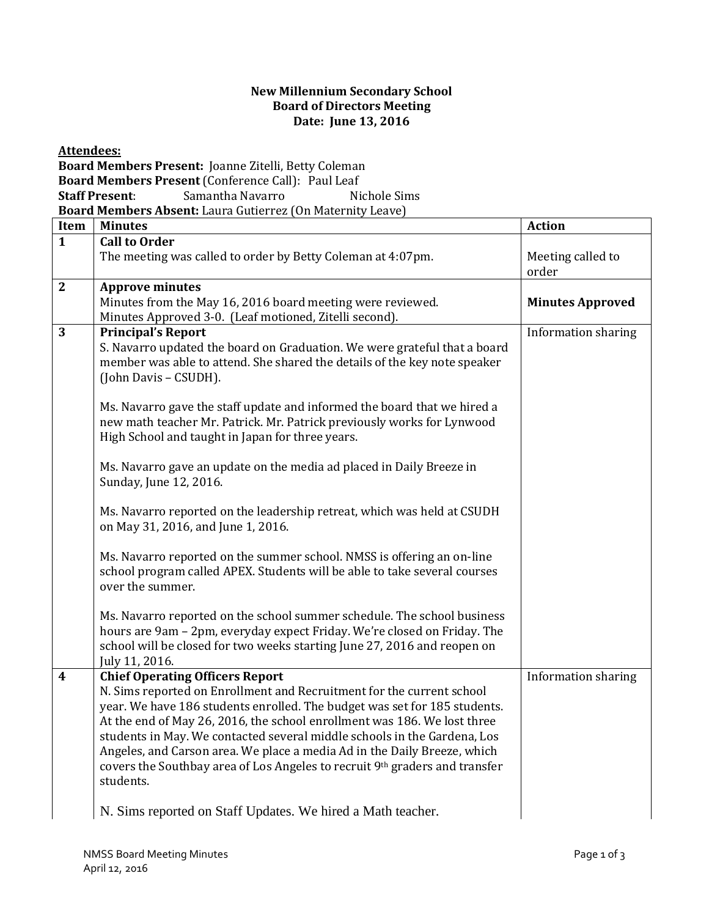## **New Millennium Secondary School Board of Directors Meeting Date: June 13, 2016**

**Attendees:** 

**Board Members Present:** Joanne Zitelli, Betty Coleman **Board Members Present** (Conference Call): Paul Leaf **Staff Present:** Samantha Navarro Nichole Sims **Board Members Absent:** Laura Gutierrez (On Maternity Leave)

| Item                    | <b>Minutes</b>                                                                                                                                                                                                                                                                                                                                                                                                                                                                                                               | <b>Action</b>              |
|-------------------------|------------------------------------------------------------------------------------------------------------------------------------------------------------------------------------------------------------------------------------------------------------------------------------------------------------------------------------------------------------------------------------------------------------------------------------------------------------------------------------------------------------------------------|----------------------------|
| $\mathbf{1}$            | <b>Call to Order</b>                                                                                                                                                                                                                                                                                                                                                                                                                                                                                                         |                            |
|                         | The meeting was called to order by Betty Coleman at 4:07pm.                                                                                                                                                                                                                                                                                                                                                                                                                                                                  | Meeting called to<br>order |
| $\mathbf{2}$            | <b>Approve minutes</b>                                                                                                                                                                                                                                                                                                                                                                                                                                                                                                       |                            |
|                         | Minutes from the May 16, 2016 board meeting were reviewed.<br>Minutes Approved 3-0. (Leaf motioned, Zitelli second).                                                                                                                                                                                                                                                                                                                                                                                                         | <b>Minutes Approved</b>    |
| 3                       | <b>Principal's Report</b><br>S. Navarro updated the board on Graduation. We were grateful that a board<br>member was able to attend. She shared the details of the key note speaker<br>(John Davis - CSUDH).<br>Ms. Navarro gave the staff update and informed the board that we hired a                                                                                                                                                                                                                                     | Information sharing        |
|                         | new math teacher Mr. Patrick. Mr. Patrick previously works for Lynwood<br>High School and taught in Japan for three years.                                                                                                                                                                                                                                                                                                                                                                                                   |                            |
|                         | Ms. Navarro gave an update on the media ad placed in Daily Breeze in<br>Sunday, June 12, 2016.                                                                                                                                                                                                                                                                                                                                                                                                                               |                            |
|                         | Ms. Navarro reported on the leadership retreat, which was held at CSUDH<br>on May 31, 2016, and June 1, 2016.                                                                                                                                                                                                                                                                                                                                                                                                                |                            |
|                         | Ms. Navarro reported on the summer school. NMSS is offering an on-line<br>school program called APEX. Students will be able to take several courses<br>over the summer.                                                                                                                                                                                                                                                                                                                                                      |                            |
|                         | Ms. Navarro reported on the school summer schedule. The school business<br>hours are 9am - 2pm, everyday expect Friday. We're closed on Friday. The<br>school will be closed for two weeks starting June 27, 2016 and reopen on<br>July 11, 2016.                                                                                                                                                                                                                                                                            |                            |
| $\overline{\mathbf{4}}$ | <b>Chief Operating Officers Report</b><br>N. Sims reported on Enrollment and Recruitment for the current school<br>year. We have 186 students enrolled. The budget was set for 185 students.<br>At the end of May 26, 2016, the school enrollment was 186. We lost three<br>students in May. We contacted several middle schools in the Gardena, Los<br>Angeles, and Carson area. We place a media Ad in the Daily Breeze, which<br>covers the Southbay area of Los Angeles to recruit 9th graders and transfer<br>students. | Information sharing        |
|                         | N. Sims reported on Staff Updates. We hired a Math teacher.                                                                                                                                                                                                                                                                                                                                                                                                                                                                  |                            |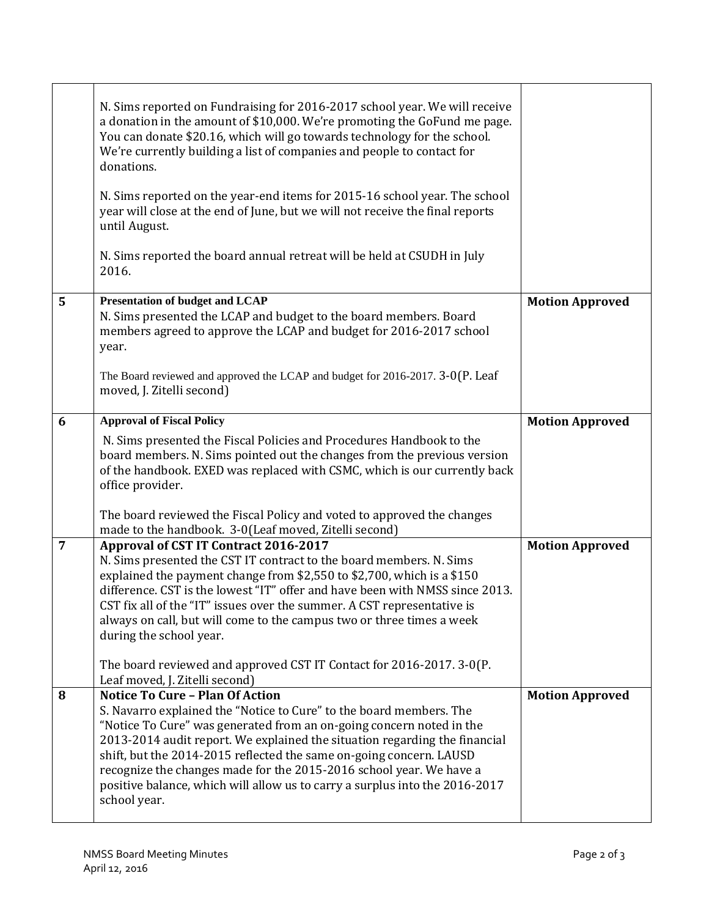|                | N. Sims reported on Fundraising for 2016-2017 school year. We will receive<br>a donation in the amount of \$10,000. We're promoting the GoFund me page.<br>You can donate \$20.16, which will go towards technology for the school.<br>We're currently building a list of companies and people to contact for<br>donations.<br>N. Sims reported on the year-end items for 2015-16 school year. The school<br>year will close at the end of June, but we will not receive the final reports<br>until August.<br>N. Sims reported the board annual retreat will be held at CSUDH in July<br>2016. |                        |
|----------------|-------------------------------------------------------------------------------------------------------------------------------------------------------------------------------------------------------------------------------------------------------------------------------------------------------------------------------------------------------------------------------------------------------------------------------------------------------------------------------------------------------------------------------------------------------------------------------------------------|------------------------|
| $5\phantom{1}$ | <b>Presentation of budget and LCAP</b><br>N. Sims presented the LCAP and budget to the board members. Board<br>members agreed to approve the LCAP and budget for 2016-2017 school<br>year.                                                                                                                                                                                                                                                                                                                                                                                                      | <b>Motion Approved</b> |
|                | The Board reviewed and approved the LCAP and budget for 2016-2017. 3-0(P. Leaf<br>moved, J. Zitelli second)                                                                                                                                                                                                                                                                                                                                                                                                                                                                                     |                        |
| 6              | <b>Approval of Fiscal Policy</b>                                                                                                                                                                                                                                                                                                                                                                                                                                                                                                                                                                | <b>Motion Approved</b> |
|                | N. Sims presented the Fiscal Policies and Procedures Handbook to the<br>board members. N. Sims pointed out the changes from the previous version<br>of the handbook. EXED was replaced with CSMC, which is our currently back<br>office provider.                                                                                                                                                                                                                                                                                                                                               |                        |
|                | The board reviewed the Fiscal Policy and voted to approved the changes<br>made to the handbook. 3-0(Leaf moved, Zitelli second)                                                                                                                                                                                                                                                                                                                                                                                                                                                                 |                        |
| $\overline{7}$ | Approval of CST IT Contract 2016-2017<br>N. Sims presented the CST IT contract to the board members. N. Sims<br>explained the payment change from \$2,550 to \$2,700, which is a \$150<br>difference. CST is the lowest "IT" offer and have been with NMSS since 2013.<br>CST fix all of the "IT" issues over the summer. A CST representative is<br>always on call, but will come to the campus two or three times a week<br>during the school year.                                                                                                                                           | <b>Motion Approved</b> |
|                | The board reviewed and approved CST IT Contact for 2016-2017. 3-0(P.<br>Leaf moved, J. Zitelli second)                                                                                                                                                                                                                                                                                                                                                                                                                                                                                          |                        |
| 8              | <b>Notice To Cure - Plan Of Action</b><br>S. Navarro explained the "Notice to Cure" to the board members. The<br>"Notice To Cure" was generated from an on-going concern noted in the<br>2013-2014 audit report. We explained the situation regarding the financial<br>shift, but the 2014-2015 reflected the same on-going concern. LAUSD<br>recognize the changes made for the 2015-2016 school year. We have a<br>positive balance, which will allow us to carry a surplus into the 2016-2017<br>school year.                                                                                | <b>Motion Approved</b> |